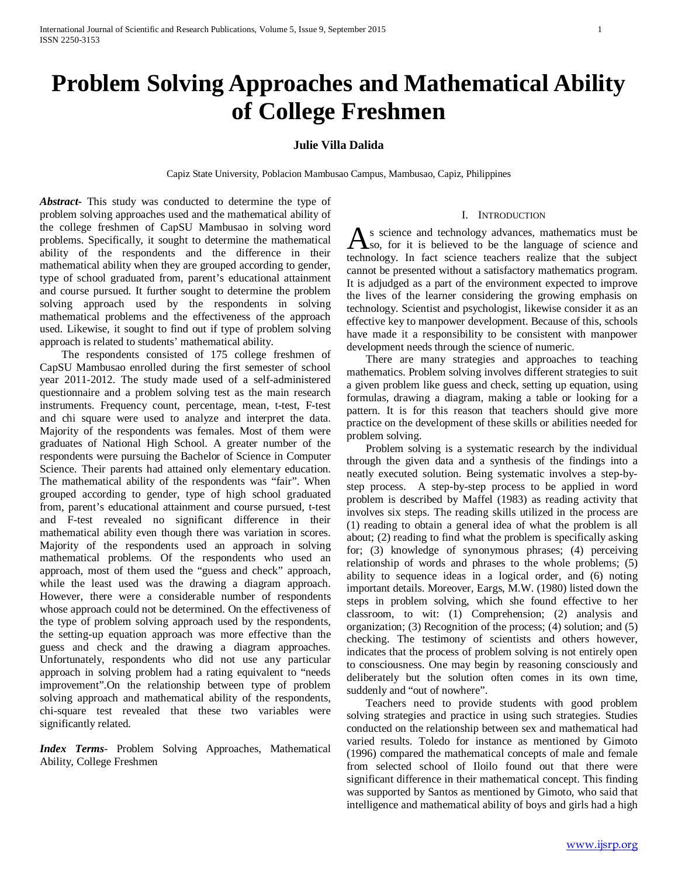# **Problem Solving Approaches and Mathematical Ability of College Freshmen**

# **Julie Villa Dalida**

Capiz State University, Poblacion Mambusao Campus, Mambusao, Capiz, Philippines

*Abstract***-** This study was conducted to determine the type of problem solving approaches used and the mathematical ability of the college freshmen of CapSU Mambusao in solving word problems. Specifically, it sought to determine the mathematical ability of the respondents and the difference in their mathematical ability when they are grouped according to gender, type of school graduated from, parent's educational attainment and course pursued. It further sought to determine the problem solving approach used by the respondents in solving mathematical problems and the effectiveness of the approach used. Likewise, it sought to find out if type of problem solving approach is related to students' mathematical ability.

 The respondents consisted of 175 college freshmen of CapSU Mambusao enrolled during the first semester of school year 2011-2012. The study made used of a self-administered questionnaire and a problem solving test as the main research instruments. Frequency count, percentage, mean, t-test, F-test and chi square were used to analyze and interpret the data. Majority of the respondents was females. Most of them were graduates of National High School. A greater number of the respondents were pursuing the Bachelor of Science in Computer Science. Their parents had attained only elementary education. The mathematical ability of the respondents was "fair". When grouped according to gender, type of high school graduated from, parent's educational attainment and course pursued, t-test and F-test revealed no significant difference in their mathematical ability even though there was variation in scores. Majority of the respondents used an approach in solving mathematical problems. Of the respondents who used an approach, most of them used the "guess and check" approach, while the least used was the drawing a diagram approach. However, there were a considerable number of respondents whose approach could not be determined. On the effectiveness of the type of problem solving approach used by the respondents, the setting-up equation approach was more effective than the guess and check and the drawing a diagram approaches. Unfortunately, respondents who did not use any particular approach in solving problem had a rating equivalent to "needs improvement".On the relationship between type of problem solving approach and mathematical ability of the respondents, chi-square test revealed that these two variables were significantly related.

*Index Terms*- Problem Solving Approaches, Mathematical Ability, College Freshmen

#### I. INTRODUCTION

s science and technology advances, mathematics must be  $\Delta$ s science and technology advances, mathematics must be so, for it is believed to be the language of science and technology. In fact science teachers realize that the subject cannot be presented without a satisfactory mathematics program. It is adjudged as a part of the environment expected to improve the lives of the learner considering the growing emphasis on technology. Scientist and psychologist, likewise consider it as an effective key to manpower development. Because of this, schools have made it a responsibility to be consistent with manpower development needs through the science of numeric.

 There are many strategies and approaches to teaching mathematics. Problem solving involves different strategies to suit a given problem like guess and check, setting up equation, using formulas, drawing a diagram, making a table or looking for a pattern. It is for this reason that teachers should give more practice on the development of these skills or abilities needed for problem solving.

 Problem solving is a systematic research by the individual through the given data and a synthesis of the findings into a neatly executed solution. Being systematic involves a step-bystep process. A step-by-step process to be applied in word problem is described by Maffel (1983) as reading activity that involves six steps. The reading skills utilized in the process are (1) reading to obtain a general idea of what the problem is all about; (2) reading to find what the problem is specifically asking for; (3) knowledge of synonymous phrases; (4) perceiving relationship of words and phrases to the whole problems; (5) ability to sequence ideas in a logical order, and (6) noting important details. Moreover, Eargs, M.W. (1980) listed down the steps in problem solving, which she found effective to her classroom, to wit: (1) Comprehension; (2) analysis and organization; (3) Recognition of the process; (4) solution; and (5) checking. The testimony of scientists and others however, indicates that the process of problem solving is not entirely open to consciousness. One may begin by reasoning consciously and deliberately but the solution often comes in its own time, suddenly and "out of nowhere".

 Teachers need to provide students with good problem solving strategies and practice in using such strategies. Studies conducted on the relationship between sex and mathematical had varied results. Toledo for instance as mentioned by Gimoto (1996) compared the mathematical concepts of male and female from selected school of Iloilo found out that there were significant difference in their mathematical concept. This finding was supported by Santos as mentioned by Gimoto, who said that intelligence and mathematical ability of boys and girls had a high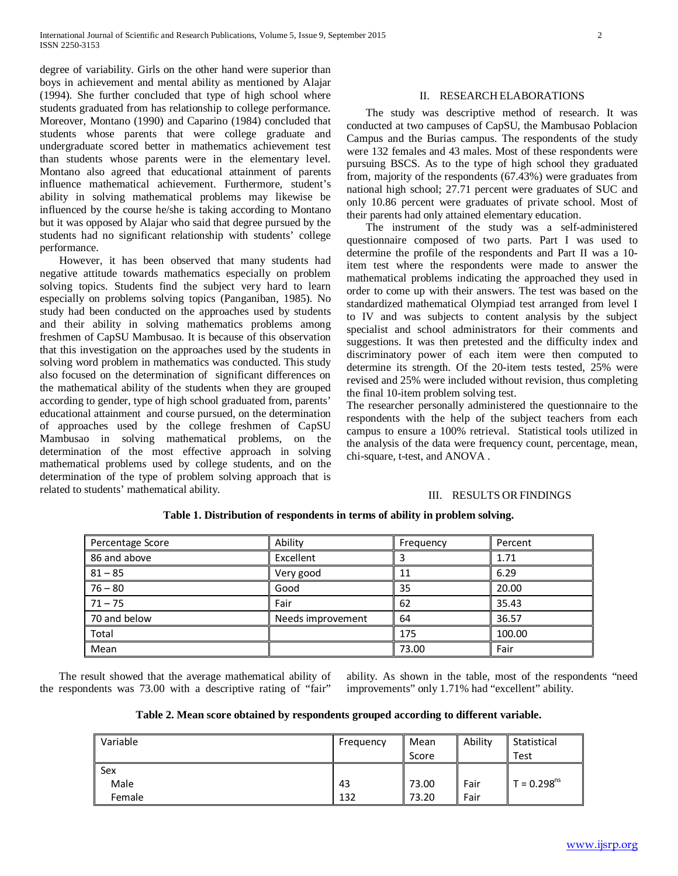degree of variability. Girls on the other hand were superior than boys in achievement and mental ability as mentioned by Alajar (1994). She further concluded that type of high school where students graduated from has relationship to college performance. Moreover, Montano (1990) and Caparino (1984) concluded that students whose parents that were college graduate and undergraduate scored better in mathematics achievement test than students whose parents were in the elementary level. Montano also agreed that educational attainment of parents influence mathematical achievement. Furthermore, student's ability in solving mathematical problems may likewise be influenced by the course he/she is taking according to Montano but it was opposed by Alajar who said that degree pursued by the students had no significant relationship with students' college performance.

 However, it has been observed that many students had negative attitude towards mathematics especially on problem solving topics. Students find the subject very hard to learn especially on problems solving topics (Panganiban, 1985). No study had been conducted on the approaches used by students and their ability in solving mathematics problems among freshmen of CapSU Mambusao. It is because of this observation that this investigation on the approaches used by the students in solving word problem in mathematics was conducted. This study also focused on the determination of significant differences on the mathematical ability of the students when they are grouped according to gender, type of high school graduated from, parents' educational attainment and course pursued, on the determination of approaches used by the college freshmen of CapSU Mambusao in solving mathematical problems, on the determination of the most effective approach in solving mathematical problems used by college students, and on the determination of the type of problem solving approach that is related to students' mathematical ability.

## II. RESEARCH ELABORATIONS

 The study was descriptive method of research. It was conducted at two campuses of CapSU, the Mambusao Poblacion Campus and the Burias campus. The respondents of the study were 132 females and 43 males. Most of these respondents were pursuing BSCS. As to the type of high school they graduated from, majority of the respondents (67.43%) were graduates from national high school; 27.71 percent were graduates of SUC and only 10.86 percent were graduates of private school. Most of their parents had only attained elementary education.

 The instrument of the study was a self-administered questionnaire composed of two parts. Part I was used to determine the profile of the respondents and Part II was a 10 item test where the respondents were made to answer the mathematical problems indicating the approached they used in order to come up with their answers. The test was based on the standardized mathematical Olympiad test arranged from level I to IV and was subjects to content analysis by the subject specialist and school administrators for their comments and suggestions. It was then pretested and the difficulty index and discriminatory power of each item were then computed to determine its strength. Of the 20-item tests tested, 25% were revised and 25% were included without revision, thus completing the final 10-item problem solving test.

The researcher personally administered the questionnaire to the respondents with the help of the subject teachers from each campus to ensure a 100% retrieval. Statistical tools utilized in the analysis of the data were frequency count, percentage, mean, chi-square, t-test, and ANOVA .

#### III. RESULTS OR FINDINGS

| Percentage Score | Ability           | Frequency | Percent |
|------------------|-------------------|-----------|---------|
| 86 and above     | Excellent         |           | 1.71    |
| $81 - 85$        | Very good         | 11        | 6.29    |
| $76 - 80$        | Good              | 35        | 20.00   |
| $71 - 75$        | Fair              | 62        | 35.43   |
| 70 and below     | Needs improvement | 64        | 36.57   |
| Total            |                   | 175       | 100.00  |
| Mean             |                   | 73.00     | Fair    |

**Table 1. Distribution of respondents in terms of ability in problem solving.**

 The result showed that the average mathematical ability of the respondents was 73.00 with a descriptive rating of "fair"

ability. As shown in the table, most of the respondents "need improvements" only 1.71% had "excellent" ability.

**Table 2. Mean score obtained by respondents grouped according to different variable.**

| Variable | Frequency | Mean<br>Score | Ability | Statistical<br>Test |
|----------|-----------|---------------|---------|---------------------|
| Sex      |           |               |         |                     |
| Male     | 43        | 73.00         | Fair    | $T = 0.298^{ns}$    |
| Female   | 132       | 73.20         | Fair    |                     |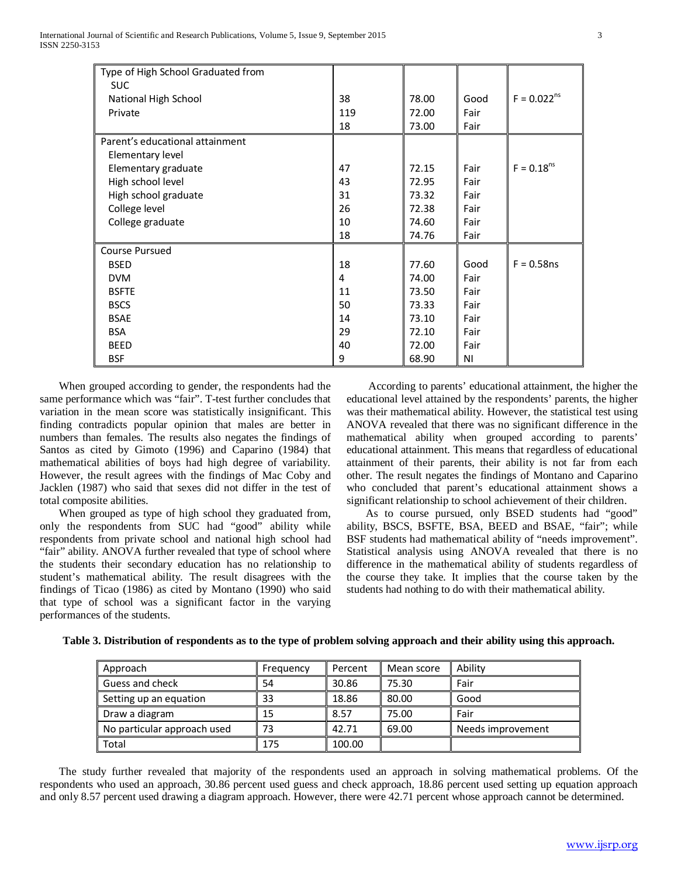| Type of High School Graduated from |     |       |      |                  |
|------------------------------------|-----|-------|------|------------------|
| <b>SUC</b>                         |     |       |      |                  |
| National High School               | 38  | 78.00 | Good | $F = 0.022^{ns}$ |
| Private                            | 119 | 72.00 | Fair |                  |
|                                    | 18  | 73.00 | Fair |                  |
| Parent's educational attainment    |     |       |      |                  |
| Elementary level                   |     |       |      |                  |
| Elementary graduate                | 47  | 72.15 | Fair | $F = 0.18ns$     |
| High school level                  | 43  | 72.95 | Fair |                  |
| High school graduate               | 31  | 73.32 | Fair |                  |
| College level                      | 26  | 72.38 | Fair |                  |
| College graduate                   | 10  | 74.60 | Fair |                  |
|                                    | 18  | 74.76 | Fair |                  |
| <b>Course Pursued</b>              |     |       |      |                  |
| <b>BSED</b>                        | 18  | 77.60 | Good | $F = 0.58$ ns    |
| <b>DVM</b>                         | 4   | 74.00 | Fair |                  |
| <b>BSFTE</b>                       | 11  | 73.50 | Fair |                  |
| <b>BSCS</b>                        | 50  | 73.33 | Fair |                  |
| <b>BSAE</b>                        | 14  | 73.10 | Fair |                  |
| <b>BSA</b>                         | 29  | 72.10 | Fair |                  |
| <b>BEED</b>                        | 40  | 72.00 | Fair |                  |
| <b>BSF</b>                         | 9   | 68.90 | ΝI   |                  |

 When grouped according to gender, the respondents had the same performance which was "fair". T-test further concludes that variation in the mean score was statistically insignificant. This finding contradicts popular opinion that males are better in numbers than females. The results also negates the findings of Santos as cited by Gimoto (1996) and Caparino (1984) that mathematical abilities of boys had high degree of variability. However, the result agrees with the findings of Mac Coby and Jacklen (1987) who said that sexes did not differ in the test of total composite abilities.

 When grouped as type of high school they graduated from, only the respondents from SUC had "good" ability while respondents from private school and national high school had "fair" ability. ANOVA further revealed that type of school where the students their secondary education has no relationship to student's mathematical ability. The result disagrees with the findings of Ticao (1986) as cited by Montano (1990) who said that type of school was a significant factor in the varying performances of the students.

 According to parents' educational attainment, the higher the educational level attained by the respondents' parents, the higher was their mathematical ability. However, the statistical test using ANOVA revealed that there was no significant difference in the mathematical ability when grouped according to parents' educational attainment. This means that regardless of educational attainment of their parents, their ability is not far from each other. The result negates the findings of Montano and Caparino who concluded that parent's educational attainment shows a significant relationship to school achievement of their children.

 As to course pursued, only BSED students had "good" ability, BSCS, BSFTE, BSA, BEED and BSAE, "fair"; while BSF students had mathematical ability of "needs improvement". Statistical analysis using ANOVA revealed that there is no difference in the mathematical ability of students regardless of the course they take. It implies that the course taken by the students had nothing to do with their mathematical ability.

| Approach                    | Frequency | Percent | Mean score | Ability           |
|-----------------------------|-----------|---------|------------|-------------------|
| Guess and check             | 54        | 30.86   | 75.30      | Fair              |
| Setting up an equation      | 33        | 18.86   | 80.00      | Good              |
| Draw a diagram              | 15        | 8.57    | 75.00      | Fair              |
| No particular approach used | 73        | 42.71   | 69.00      | Needs improvement |
| Total                       | 175       | 100.00  |            |                   |

**Table 3. Distribution of respondents as to the type of problem solving approach and their ability using this approach.**

 The study further revealed that majority of the respondents used an approach in solving mathematical problems. Of the respondents who used an approach, 30.86 percent used guess and check approach, 18.86 percent used setting up equation approach and only 8.57 percent used drawing a diagram approach. However, there were 42.71 percent whose approach cannot be determined.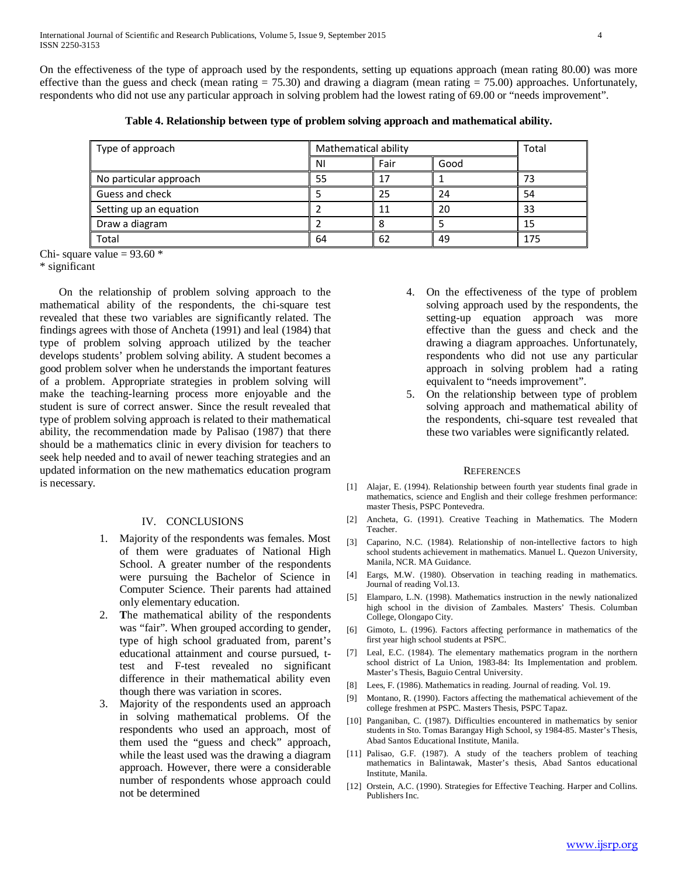On the effectiveness of the type of approach used by the respondents, setting up equations approach (mean rating 80.00) was more effective than the guess and check (mean rating  $= 75.30$ ) and drawing a diagram (mean rating  $= 75.00$ ) approaches. Unfortunately, respondents who did not use any particular approach in solving problem had the lowest rating of 69.00 or "needs improvement".

|  | Table 4. Relationship between type of problem solving approach and mathematical ability. |  |
|--|------------------------------------------------------------------------------------------|--|
|  |                                                                                          |  |

| Type of approach       | Mathematical ability |      |      | Total |
|------------------------|----------------------|------|------|-------|
|                        | N                    | Fair | Good |       |
| No particular approach |                      | 17   |      | 72    |
| Guess and check        |                      | 25   | 24   | 54    |
| Setting up an equation |                      | 11   | 20   | 33    |
| Draw a diagram         |                      |      |      |       |
| Total                  | 64                   | 62   | 49   | 175   |

Chi- square value =  $93.60*$ 

\* significant

 On the relationship of problem solving approach to the mathematical ability of the respondents, the chi-square test revealed that these two variables are significantly related. The findings agrees with those of Ancheta (1991) and leal (1984) that type of problem solving approach utilized by the teacher develops students' problem solving ability. A student becomes a good problem solver when he understands the important features of a problem. Appropriate strategies in problem solving will make the teaching-learning process more enjoyable and the student is sure of correct answer. Since the result revealed that type of problem solving approach is related to their mathematical ability, the recommendation made by Palisao (1987) that there should be a mathematics clinic in every division for teachers to seek help needed and to avail of newer teaching strategies and an updated information on the new mathematics education program is necessary.

### IV. CONCLUSIONS

- 1. Majority of the respondents was females. Most of them were graduates of National High School. A greater number of the respondents were pursuing the Bachelor of Science in Computer Science. Their parents had attained only elementary education.
- 2. **T**he mathematical ability of the respondents was "fair". When grouped according to gender, type of high school graduated from, parent's educational attainment and course pursued, ttest and F-test revealed no significant difference in their mathematical ability even though there was variation in scores.
- 3. Majority of the respondents used an approach in solving mathematical problems. Of the respondents who used an approach, most of them used the "guess and check" approach, while the least used was the drawing a diagram approach. However, there were a considerable number of respondents whose approach could not be determined
- 4. On the effectiveness of the type of problem solving approach used by the respondents, the setting-up equation approach was more effective than the guess and check and the drawing a diagram approaches. Unfortunately, respondents who did not use any particular approach in solving problem had a rating equivalent to "needs improvement".
- 5. On the relationship between type of problem solving approach and mathematical ability of the respondents, chi-square test revealed that these two variables were significantly related.

#### **REFERENCES**

- [1] Alajar, E. (1994). Relationship between fourth year students final grade in mathematics, science and English and their college freshmen performance: master Thesis, PSPC Pontevedra.
- [2] Ancheta, G. (1991). Creative Teaching in Mathematics. The Modern Teacher.
- [3] Caparino, N.C. (1984). Relationship of non-intellective factors to high school students achievement in mathematics. Manuel L. Quezon University, Manila, NCR. MA Guidance.
- [4] Eargs, M.W. (1980). Observation in teaching reading in mathematics. Journal of reading Vol.13.
- [5] Elamparo, L.N. (1998). Mathematics instruction in the newly nationalized high school in the division of Zambales. Masters' Thesis. Columban College, Olongapo City.
- [6] Gimoto, L. (1996). Factors affecting performance in mathematics of the first year high school students at PSPC.
- [7] Leal, E.C. (1984). The elementary mathematics program in the northern school district of La Union, 1983-84: Its Implementation and problem. Master's Thesis, Baguio Central University.
- [8] Lees, F. (1986). Mathematics in reading. Journal of reading. Vol. 19.
- [9] Montano, R. (1990). Factors affecting the mathematical achievement of the college freshmen at PSPC. Masters Thesis, PSPC Tapaz.
- [10] Panganiban, C. (1987). Difficulties encountered in mathematics by senior students in Sto. Tomas Barangay High School, sy 1984-85. Master's Thesis, Abad Santos Educational Institute, Manila.
- [11] Palisao, G.F. (1987). A study of the teachers problem of teaching mathematics in Balintawak, Master's thesis, Abad Santos educational Institute, Manila.
- [12] Orstein, A.C. (1990). Strategies for Effective Teaching. Harper and Collins. Publishers Inc.